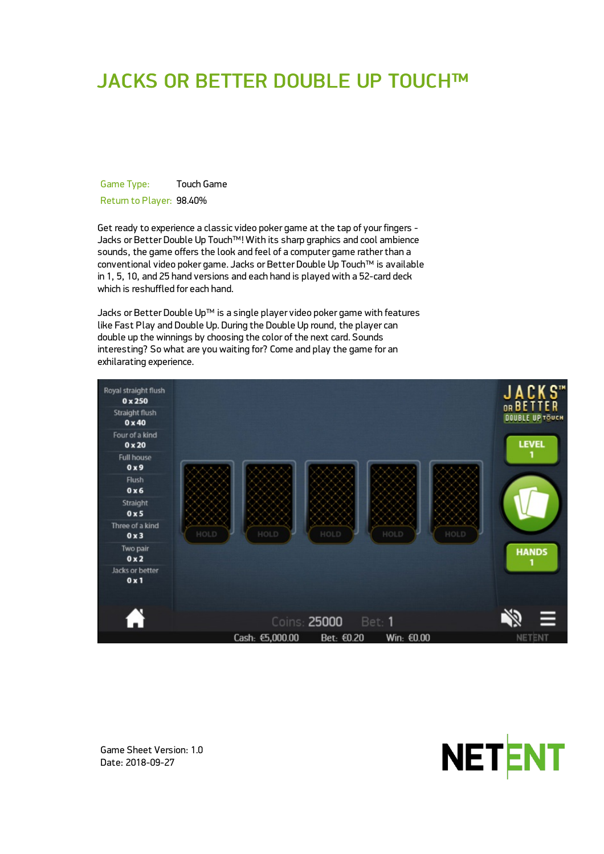# JACKS OR BETTER DOUBLE UP TOUCH™

Game Type: Touch Game Return to Player: 98.40%

Get ready to experience a classic video poker game at the tap of your fingers - Jacks or Better Double Up Touch™! With its sharp graphics and cool ambience sounds, the game offers the look and feel of a computer game rather than a conventional video poker game. Jacks or Better Double Up Touch™ is available in 1, 5, 10, and 25 hand versions and each hand is played with a 52-card deck which is reshuffled for each hand.

Jacks or Better Double Up™ is a single player video poker game with features like Fast Play and Double Up. During the Double Up round, the player can double up the winnings by choosing the color of the next card. Sounds interesting? So what are you waiting for? Come and play the game for an exhilarating experience.





Game Sheet Version: 1.0 Date: 2018-09-27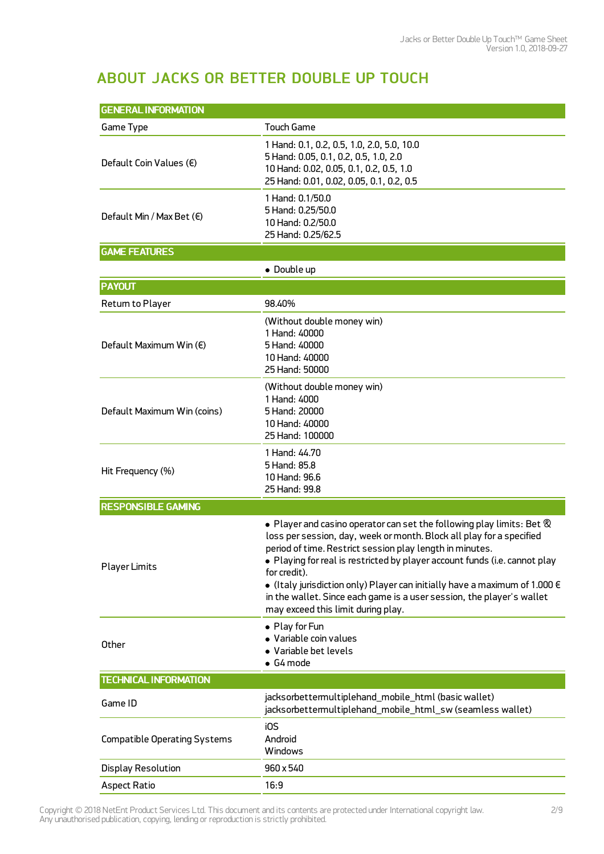# ABOUT JACKS OR BETTER DOUBLE UP TOUCH

| <b>GENERAL INFORMATION</b>          |                                                                                                                                                                                                                                                                                                                                                                                                                                                                                                                          |  |  |  |
|-------------------------------------|--------------------------------------------------------------------------------------------------------------------------------------------------------------------------------------------------------------------------------------------------------------------------------------------------------------------------------------------------------------------------------------------------------------------------------------------------------------------------------------------------------------------------|--|--|--|
| Game Type                           | <b>Touch Game</b>                                                                                                                                                                                                                                                                                                                                                                                                                                                                                                        |  |  |  |
| Default Coin Values (€)             | 1 Hand: 0.1, 0.2, 0.5, 1.0, 2.0, 5.0, 10.0<br>5 Hand: 0.05, 0.1, 0.2, 0.5, 1.0, 2.0<br>10 Hand: 0.02, 0.05, 0.1, 0.2, 0.5, 1.0<br>25 Hand: 0.01, 0.02, 0.05, 0.1, 0.2, 0.5                                                                                                                                                                                                                                                                                                                                               |  |  |  |
| Default Min / Max Bet $(\epsilon)$  | 1 Hand: 0.1/50.0<br>5 Hand: 0.25/50.0<br>10 Hand: 0.2/50.0<br>25 Hand: 0.25/62.5                                                                                                                                                                                                                                                                                                                                                                                                                                         |  |  |  |
| <b>GAME FEATURES</b>                |                                                                                                                                                                                                                                                                                                                                                                                                                                                                                                                          |  |  |  |
|                                     | • Double up                                                                                                                                                                                                                                                                                                                                                                                                                                                                                                              |  |  |  |
| <b>PAYOUT</b>                       |                                                                                                                                                                                                                                                                                                                                                                                                                                                                                                                          |  |  |  |
| Return to Player                    | 98.40%                                                                                                                                                                                                                                                                                                                                                                                                                                                                                                                   |  |  |  |
| Default Maximum Win (€)             | (Without double money win)<br>1 Hand: 40000<br>5 Hand: 40000<br>10 Hand: 40000<br>25 Hand: 50000                                                                                                                                                                                                                                                                                                                                                                                                                         |  |  |  |
| Default Maximum Win (coins)         | (Without double money win)<br>1 Hand: 4000<br>5 Hand: 20000<br>10 Hand: 40000<br>25 Hand: 100000                                                                                                                                                                                                                                                                                                                                                                                                                         |  |  |  |
| Hit Frequency (%)                   | 1 Hand: 44.70<br>5 Hand: 85.8<br>10 Hand: 96.6<br>25 Hand: 99.8                                                                                                                                                                                                                                                                                                                                                                                                                                                          |  |  |  |
| <b>RESPONSIBLE GAMING</b>           |                                                                                                                                                                                                                                                                                                                                                                                                                                                                                                                          |  |  |  |
| <b>Player Limits</b>                | $\bullet$ Player and casino operator can set the following play limits: Bet $\otimes$<br>loss per session, day, week or month. Block all play for a specified<br>period of time. Restrict session play length in minutes.<br>• Playing for real is restricted by player account funds (i.e. cannot play<br>for credit).<br>• (Italy jurisdiction only) Player can initially have a maximum of 1.000 $\in$<br>in the wallet. Since each game is a user session, the player's wallet<br>may exceed this limit during play. |  |  |  |
| Other                               | • Play for Fun<br>· Variable coin values<br>• Variable bet levels<br>$\bullet$ G4 mode                                                                                                                                                                                                                                                                                                                                                                                                                                   |  |  |  |
| <b>TECHNICAL INFORMATION</b>        |                                                                                                                                                                                                                                                                                                                                                                                                                                                                                                                          |  |  |  |
| Game ID                             | jacksorbettermultiplehand_mobile_html (basic wallet)<br>jacksorbettermultiplehand_mobile_html_sw (seamless wallet)                                                                                                                                                                                                                                                                                                                                                                                                       |  |  |  |
| <b>Compatible Operating Systems</b> | i0S<br>Android<br>Windows                                                                                                                                                                                                                                                                                                                                                                                                                                                                                                |  |  |  |
| <b>Display Resolution</b>           | 960 x 540                                                                                                                                                                                                                                                                                                                                                                                                                                                                                                                |  |  |  |
| <b>Aspect Ratio</b>                 | 16:9                                                                                                                                                                                                                                                                                                                                                                                                                                                                                                                     |  |  |  |

Copyright © 2018 NetEnt Product Services Ltd. This document and its contents are protected under International copyright law. Any unauthorised publication, copying, lending or reproduction is strictly prohibited.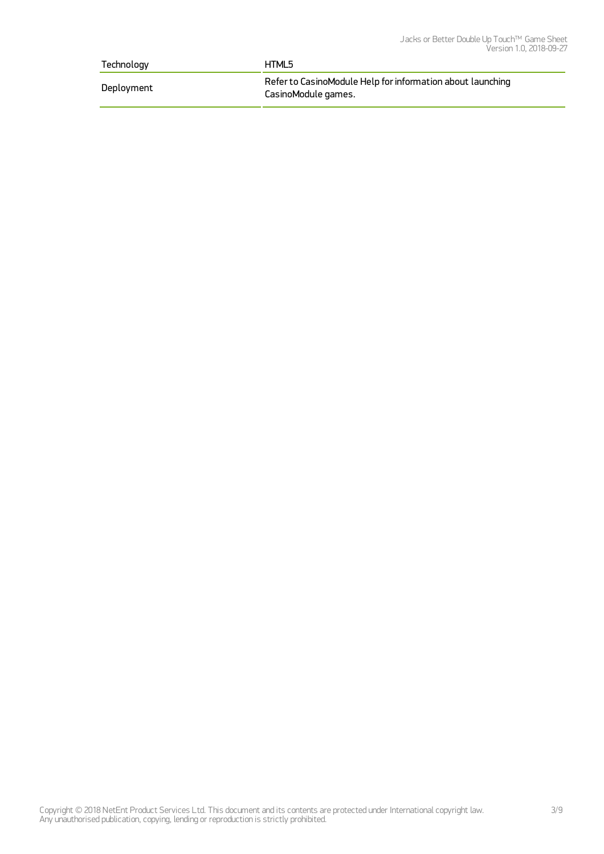| Technology | HTML5                                                                             |
|------------|-----------------------------------------------------------------------------------|
| Deployment | Refer to CasinoModule Help for information about launching<br>CasinoModule games. |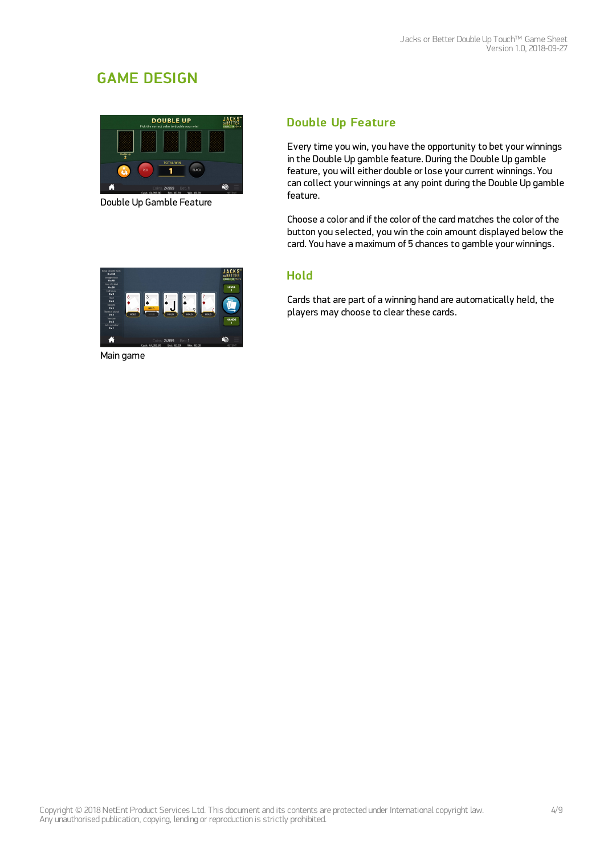# GAME DESIGN



Double Up Gamble Feature

## Double Up Feature

Every time you win, you have the opportunity to bet yourwinnings in the Double Up gamble feature. During the Double Up gamble feature, you will either double or lose your current winnings. You can collect yourwinnings at any point during the Double Up gamble feature.

Choose a color and if the color of the card matches the color of the button you selected, you win the coin amount displayed below the card. You have a maximum of 5 chances to gamble yourwinnings.

### Hold

Cards that are part of a winning hand are automatically held, the players may choose to clear these cards.



Main game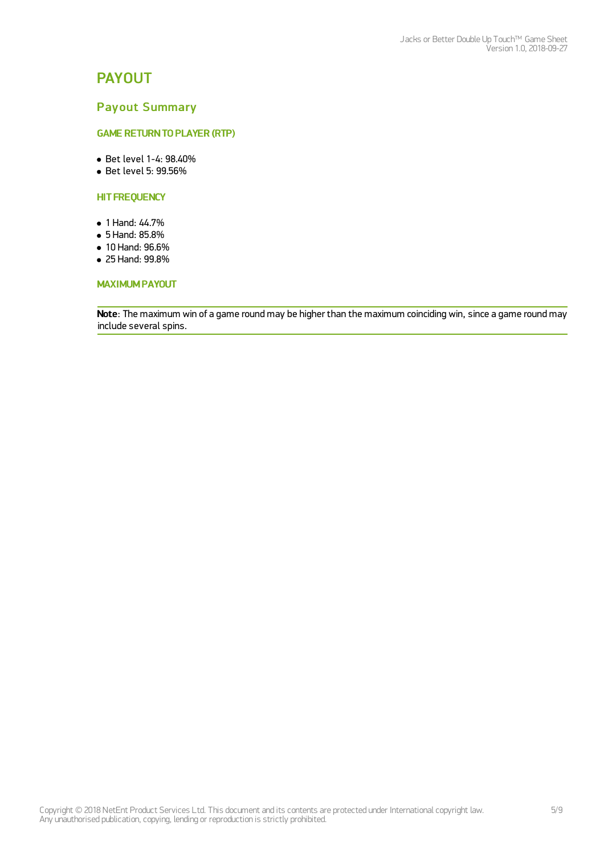# PAYOUT

### Payout Summary

#### **GAME RETURN TO PLAYER (RTP)**

- Bet level 1-4: 98.40%
- Bet level 5: 99.56%

#### **HIT FREQUENCY**

- 1 Hand: 44.7%
- 5 Hand: 85.8%
- 10 Hand: 96.6%
- 25 Hand: 99.8%

#### MAXIMUM PAYOUT

Note: The maximum win of a game round may be higher than the maximum coinciding win, since a game round may include several spins.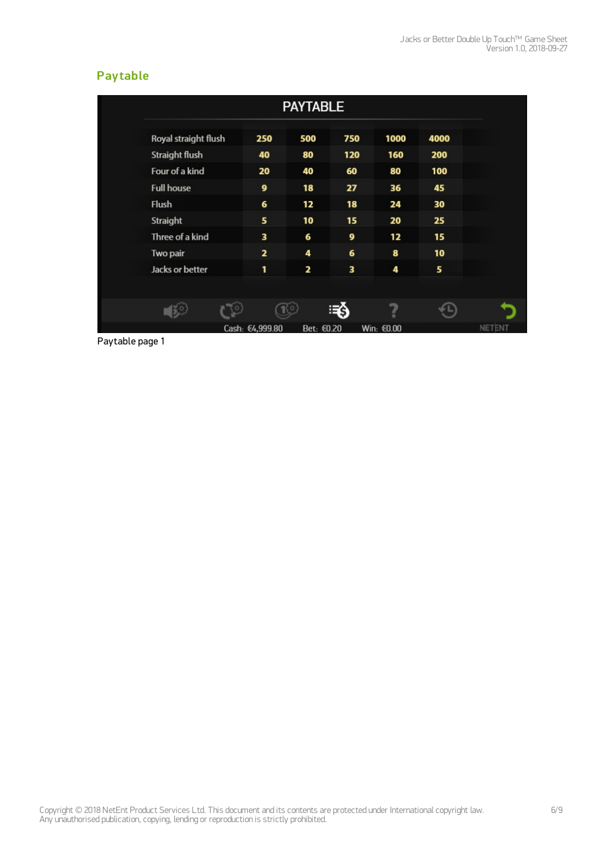# **Pay table**

|                       |                         | <b>PAYTABLE</b> |     |            |      |
|-----------------------|-------------------------|-----------------|-----|------------|------|
| Royal straight flush  | 250                     | 500             | 750 | 1000       | 4000 |
| <b>Straight flush</b> | 40                      | 80              | 120 | 160        | 200  |
| Four of a kind        | 20                      | 40              | 60  | 80         | 100  |
| <b>Full house</b>     | 9                       | 18              | 27  | 36         | 45   |
| <b>Flush</b>          | 6                       | 12              | 18  | 24         | 30   |
| Straight              | 5                       | 10              | 15  | 20         | 25   |
| Three of a kind       | з                       | 6               | 9   | 12         | 15   |
| Two pair              | $\overline{\mathbf{z}}$ | 4               | 6   | 8          | 10   |
| Jacks or better       | 1                       | 2               | 3   | 4          | 5    |
|                       |                         |                 |     |            |      |
|                       |                         |                 | Ξś  |            |      |
|                       | Cash: €4,999.80         | Bet: €0.20      |     | Win: €0.00 |      |

Paytable page 1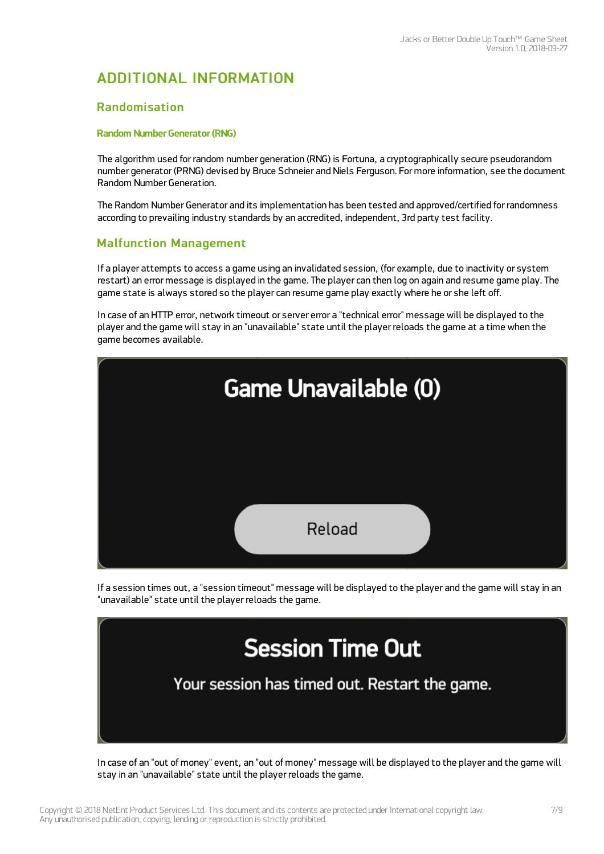# ADDITIONAL INFORMATION

### Randomisation

#### Random Number Generator (RNG)

The algorithm used for random number generation (RNG) is Fortuna, a cryptographically secure pseudorandom number generator (PRNG) devised by Bruce Schneier and Niels Ferguson. For more information, see the document Random Number Generation.

The Random Number Generator and its implementation has been tested and approved/certified for randomness according to prevailing industry standards by an accredited, independent, 3rd party test facility.

## Malfunction Management

If a player attempts to access a game using an invalidated session, (for example, due to inactivity or system restart) an error message is displayed in the game. The player can then log on again and resume game play. The game state is always stored so the player can resume game play exactly where he or she left off.

In case of an HTTP error, network timeout or server error a "technical error" message will be displayed to the player and the game will stay in an "unavailable" state until the player reloads the game at a time when the game becomes available.



If a session times out, a "session timeout" message will be displayed to the player and the game will stay in an "unavailable" state until the player reloads the game.



In case of an "out of money" event, an "out of money" message will be displayed to the player and the game will stay in an "unavailable" state until the player reloads the game.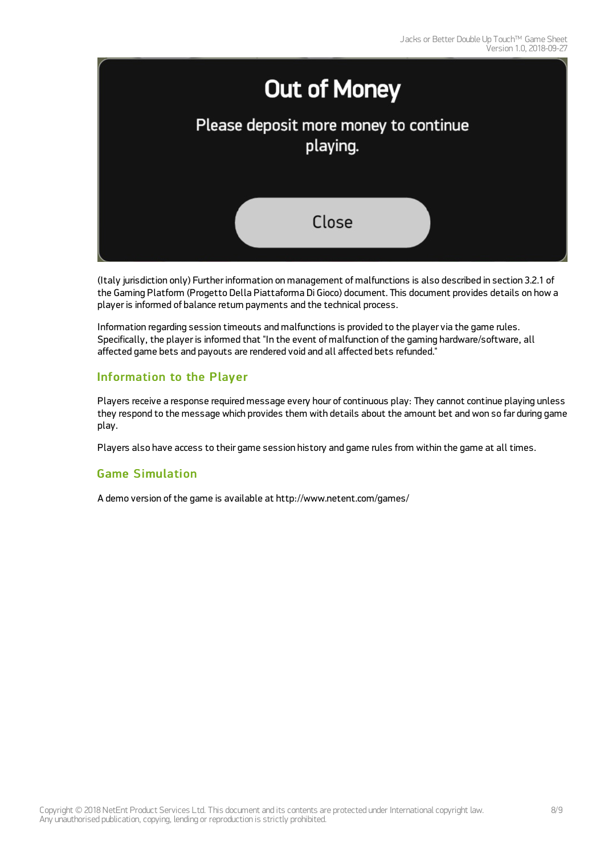

(Italy jurisdiction only) Further information on management of malfunctions is also described in section 3.2.1 of the Gaming Platform (Progetto Della Piattaforma Di Gioco) document. This document provides details on how a player is informed of balance return payments and the technical process.

Information regarding session timeouts and malfunctions is provided to the player via the game rules. Specifically, the player is informed that "In the event of malfunction of the gaming hardware/software, all affected game bets and payouts are rendered void and all affected bets refunded."

### Information to the Player

Players receive a response required message every hour of continuous play: They cannot continue playing unless they respond to the message which provides them with details about the amount bet and won so far during game play.

Players also have access to their game session history and game rules from within the game at all times.

### Game Simulation

A demo version of the game is available at <http://www.netent.com/games/>